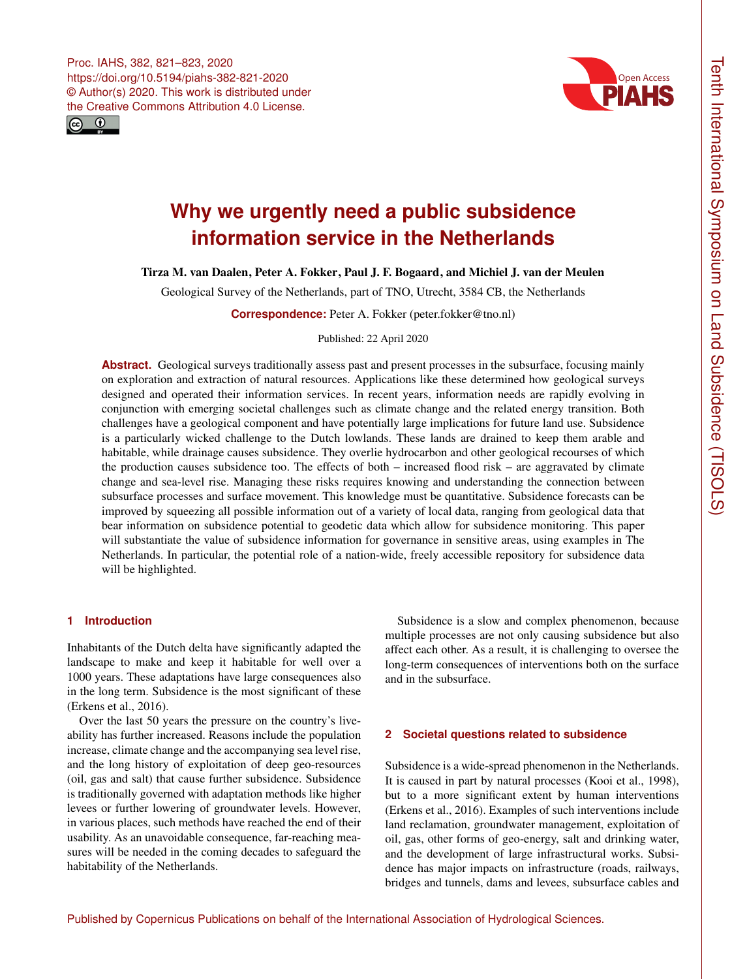



# **Why we urgently need a public subsidence information service in the Netherlands**

Tirza M. van Daalen, Peter A. Fokker, Paul J. F. Bogaard, and Michiel J. van der Meulen

Geological Survey of the Netherlands, part of TNO, Utrecht, 3584 CB, the Netherlands

**Correspondence:** Peter A. Fokker (peter.fokker@tno.nl)

Published: 22 April 2020

Abstract. Geological surveys traditionally assess past and present processes in the subsurface, focusing mainly on exploration and extraction of natural resources. Applications like these determined how geological surveys designed and operated their information services. In recent years, information needs are rapidly evolving in conjunction with emerging societal challenges such as climate change and the related energy transition. Both challenges have a geological component and have potentially large implications for future land use. Subsidence is a particularly wicked challenge to the Dutch lowlands. These lands are drained to keep them arable and habitable, while drainage causes subsidence. They overlie hydrocarbon and other geological recourses of which the production causes subsidence too. The effects of both – increased flood risk – are aggravated by climate change and sea-level rise. Managing these risks requires knowing and understanding the connection between subsurface processes and surface movement. This knowledge must be quantitative. Subsidence forecasts can be improved by squeezing all possible information out of a variety of local data, ranging from geological data that bear information on subsidence potential to geodetic data which allow for subsidence monitoring. This paper will substantiate the value of subsidence information for governance in sensitive areas, using examples in The Netherlands. In particular, the potential role of a nation-wide, freely accessible repository for subsidence data will be highlighted.

## **1 Introduction**

Inhabitants of the Dutch delta have significantly adapted the landscape to make and keep it habitable for well over a 1000 years. These adaptations have large consequences also in the long term. Subsidence is the most significant of these (Erkens et al., 2016).

Over the last 50 years the pressure on the country's liveability has further increased. Reasons include the population increase, climate change and the accompanying sea level rise, and the long history of exploitation of deep geo-resources (oil, gas and salt) that cause further subsidence. Subsidence is traditionally governed with adaptation methods like higher levees or further lowering of groundwater levels. However, in various places, such methods have reached the end of their usability. As an unavoidable consequence, far-reaching measures will be needed in the coming decades to safeguard the habitability of the Netherlands.

Subsidence is a slow and complex phenomenon, because multiple processes are not only causing subsidence but also affect each other. As a result, it is challenging to oversee the long-term consequences of interventions both on the surface and in the subsurface.

#### **2 Societal questions related to subsidence**

Subsidence is a wide-spread phenomenon in the Netherlands. It is caused in part by natural processes (Kooi et al., 1998), but to a more significant extent by human interventions (Erkens et al., 2016). Examples of such interventions include land reclamation, groundwater management, exploitation of oil, gas, other forms of geo-energy, salt and drinking water, and the development of large infrastructural works. Subsidence has major impacts on infrastructure (roads, railways, bridges and tunnels, dams and levees, subsurface cables and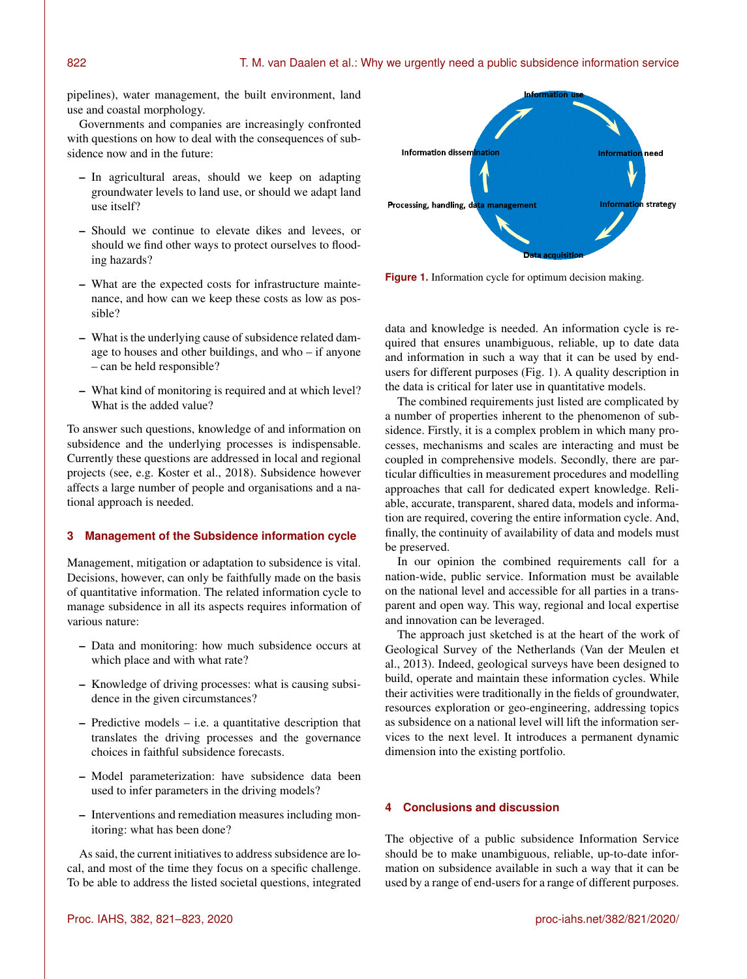pipelines), water management, the built environment, land use and coastal morphology.

Governments and companies are increasingly confronted with questions on how to deal with the consequences of subsidence now and in the future:

- In agricultural areas, should we keep on adapting groundwater levels to land use, or should we adapt land use itself?
- Should we continue to elevate dikes and levees, or should we find other ways to protect ourselves to flooding hazards?
- What are the expected costs for infrastructure maintenance, and how can we keep these costs as low as possible?
- What is the underlying cause of subsidence related damage to houses and other buildings, and who – if anyone – can be held responsible?
- What kind of monitoring is required and at which level? What is the added value?

To answer such questions, knowledge of and information on subsidence and the underlying processes is indispensable. Currently these questions are addressed in local and regional projects (see, e.g. Koster et al., 2018). Subsidence however affects a large number of people and organisations and a national approach is needed.

### **3 Management of the Subsidence information cycle**

Management, mitigation or adaptation to subsidence is vital. Decisions, however, can only be faithfully made on the basis of quantitative information. The related information cycle to manage subsidence in all its aspects requires information of various nature:

- Data and monitoring: how much subsidence occurs at which place and with what rate?
- Knowledge of driving processes: what is causing subsidence in the given circumstances?
- Predictive models i.e. a quantitative description that translates the driving processes and the governance choices in faithful subsidence forecasts.
- Model parameterization: have subsidence data been used to infer parameters in the driving models?
- Interventions and remediation measures including monitoring: what has been done?

As said, the current initiatives to address subsidence are local, and most of the time they focus on a specific challenge. To be able to address the listed societal questions, integrated



**Figure 1.** Information cycle for optimum decision making.

data and knowledge is needed. An information cycle is required that ensures unambiguous, reliable, up to date data and information in such a way that it can be used by endusers for different purposes (Fig. 1). A quality description in the data is critical for later use in quantitative models.

The combined requirements just listed are complicated by a number of properties inherent to the phenomenon of subsidence. Firstly, it is a complex problem in which many processes, mechanisms and scales are interacting and must be coupled in comprehensive models. Secondly, there are particular difficulties in measurement procedures and modelling approaches that call for dedicated expert knowledge. Reliable, accurate, transparent, shared data, models and information are required, covering the entire information cycle. And, finally, the continuity of availability of data and models must be preserved.

In our opinion the combined requirements call for a nation-wide, public service. Information must be available on the national level and accessible for all parties in a transparent and open way. This way, regional and local expertise and innovation can be leveraged.

The approach just sketched is at the heart of the work of Geological Survey of the Netherlands (Van der Meulen et al., 2013). Indeed, geological surveys have been designed to build, operate and maintain these information cycles. While their activities were traditionally in the fields of groundwater, resources exploration or geo-engineering, addressing topics as subsidence on a national level will lift the information services to the next level. It introduces a permanent dynamic dimension into the existing portfolio.

# **4 Conclusions and discussion**

The objective of a public subsidence Information Service should be to make unambiguous, reliable, up-to-date information on subsidence available in such a way that it can be used by a range of end-users for a range of different purposes.